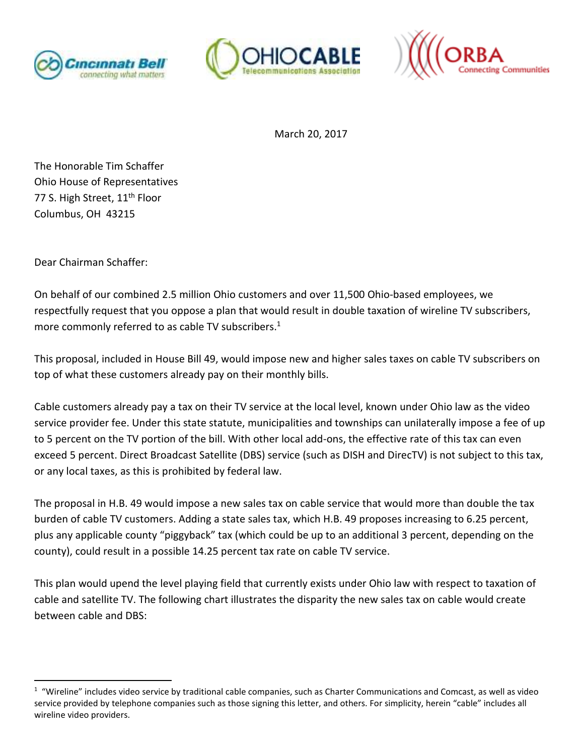





March 20, 2017

The Honorable Tim Schaffer Ohio House of Representatives 77 S. High Street, 11<sup>th</sup> Floor Columbus, OH 43215

Dear Chairman Schaffer:

<u>.</u>

On behalf of our combined 2.5 million Ohio customers and over 11,500 Ohio-based employees, we respectfully request that you oppose a plan that would result in double taxation of wireline TV subscribers, more commonly referred to as cable TV subscribers.<sup>1</sup>

This proposal, included in House Bill 49, would impose new and higher sales taxes on cable TV subscribers on top of what these customers already pay on their monthly bills.

Cable customers already pay a tax on their TV service at the local level, known under Ohio law as the video service provider fee. Under this state statute, municipalities and townships can unilaterally impose a fee of up to 5 percent on the TV portion of the bill. With other local add-ons, the effective rate of this tax can even exceed 5 percent. Direct Broadcast Satellite (DBS) service (such as DISH and DirecTV) is not subject to this tax, or any local taxes, as this is prohibited by federal law.

The proposal in H.B. 49 would impose a new sales tax on cable service that would more than double the tax burden of cable TV customers. Adding a state sales tax, which H.B. 49 proposes increasing to 6.25 percent, plus any applicable county "piggyback" tax (which could be up to an additional 3 percent, depending on the county), could result in a possible 14.25 percent tax rate on cable TV service.

This plan would upend the level playing field that currently exists under Ohio law with respect to taxation of cable and satellite TV. The following chart illustrates the disparity the new sales tax on cable would create between cable and DBS:

 $1$  "Wireline" includes video service by traditional cable companies, such as Charter Communications and Comcast, as well as video service provided by telephone companies such as those signing this letter, and others. For simplicity, herein "cable" includes all wireline video providers.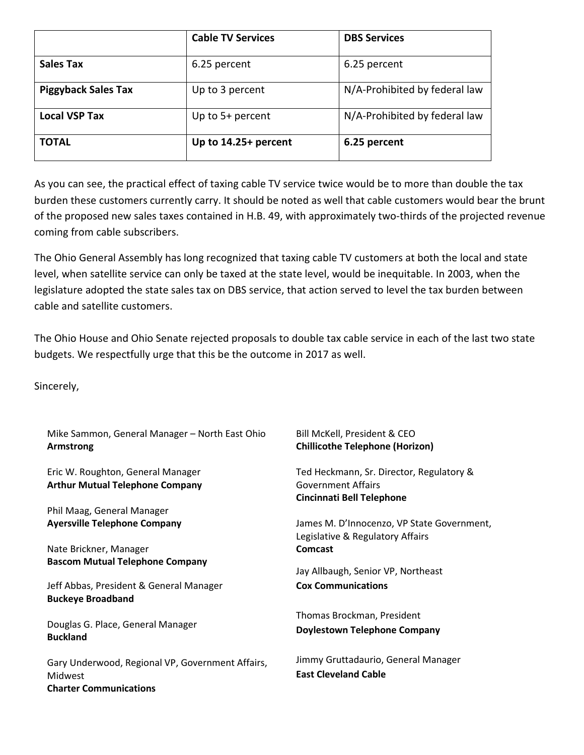|                            | <b>Cable TV Services</b> | <b>DBS Services</b>           |
|----------------------------|--------------------------|-------------------------------|
| <b>Sales Tax</b>           | 6.25 percent             | 6.25 percent                  |
| <b>Piggyback Sales Tax</b> | Up to 3 percent          | N/A-Prohibited by federal law |
| <b>Local VSP Tax</b>       | Up to $5+$ percent       | N/A-Prohibited by federal law |
| <b>TOTAL</b>               | Up to 14.25+ percent     | 6.25 percent                  |

As you can see, the practical effect of taxing cable TV service twice would be to more than double the tax burden these customers currently carry. It should be noted as well that cable customers would bear the brunt of the proposed new sales taxes contained in H.B. 49, with approximately two-thirds of the projected revenue coming from cable subscribers.

The Ohio General Assembly has long recognized that taxing cable TV customers at both the local and state level, when satellite service can only be taxed at the state level, would be inequitable. In 2003, when the legislature adopted the state sales tax on DBS service, that action served to level the tax burden between cable and satellite customers.

The Ohio House and Ohio Senate rejected proposals to double tax cable service in each of the last two state budgets. We respectfully urge that this be the outcome in 2017 as well.

Sincerely,

| Mike Sammon, General Manager - North East Ohio<br>Armstrong                                  | Bill McKell, President & CEO<br><b>Chillicothe Telephone (Horizon)</b>         |
|----------------------------------------------------------------------------------------------|--------------------------------------------------------------------------------|
| Eric W. Roughton, General Manager<br><b>Arthur Mutual Telephone Company</b>                  | Ted Heckmann, Sr. Director, Regulatory &<br><b>Government Affairs</b>          |
|                                                                                              | <b>Cincinnati Bell Telephone</b>                                               |
| Phil Maag, General Manager                                                                   |                                                                                |
| <b>Ayersville Telephone Company</b>                                                          | James M. D'Innocenzo, VP State Government,<br>Legislative & Regulatory Affairs |
| Nate Brickner, Manager                                                                       | <b>Comcast</b>                                                                 |
| <b>Bascom Mutual Telephone Company</b>                                                       | Jay Allbaugh, Senior VP, Northeast                                             |
| Jeff Abbas, President & General Manager<br><b>Buckeye Broadband</b>                          | <b>Cox Communications</b>                                                      |
|                                                                                              | Thomas Brockman, President                                                     |
| Douglas G. Place, General Manager<br><b>Buckland</b>                                         | <b>Doylestown Telephone Company</b>                                            |
| Gary Underwood, Regional VP, Government Affairs,<br>Midwest<br><b>Charter Communications</b> | Jimmy Gruttadaurio, General Manager<br><b>East Cleveland Cable</b>             |